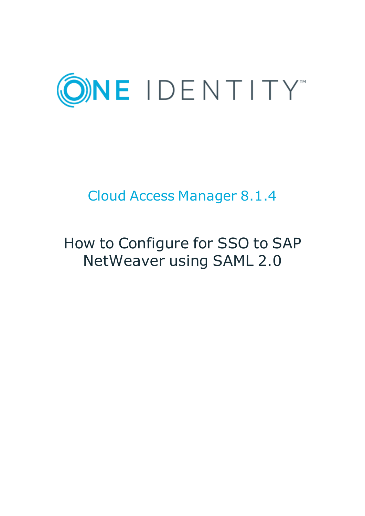

# Cloud Access Manager 8.1.4

# How to Configure for SSO to SAP NetWeaver using SAML 2.0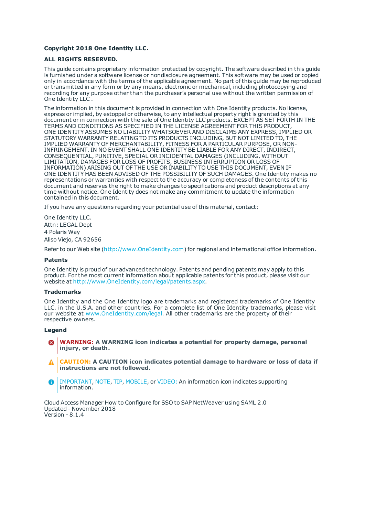#### **Copyright 2018 One Identity LLC.**

#### **ALL RIGHTS RESERVED.**

This guide contains proprietary information protected by copyright. The software described in this guide is furnished under a software license or nondisclosure agreement. This software may be used or copied only in accordance with the terms of the applicable agreement. No part of this guide may be reproduced or transmitted in any form or by any means, electronic or mechanical, including photocopying and recording for any purpose other than the purchaser's personal use without the written permission of One Identity LLC .

The information in this document is provided in connection with One Identity products. No license, express or implied, by estoppel or otherwise, to any intellectual property right is granted by this document or in connection with the sale of One Identity LLC products. EXCEPT AS SET FORTH IN THE TERMS AND CONDITIONS AS SPECIFIED IN THE LICENSE AGREEMENT FOR THIS PRODUCT, ONE IDENTITY ASSUMES NO LIABILITY WHATSOEVER AND DISCLAIMS ANY EXPRESS, IMPLIED OR STATUTORY WARRANTY RELATING TO ITS PRODUCTS INCLUDING, BUT NOT LIMITED TO, THE IMPLIED WARRANTY OF MERCHANTABILITY, FITNESS FOR A PARTICULAR PURPOSE, OR NON-INFRINGEMENT. IN NO EVENT SHALL ONE IDENTITY BE LIABLE FOR ANY DIRECT, INDIRECT, CONSEQUENTIAL, PUNITIVE, SPECIAL OR INCIDENTAL DAMAGES (INCLUDING, WITHOUT LIMITATION, DAMAGES FOR LOSS OF PROFITS, BUSINESS INTERRUPTION OR LOSS OF INFORMATION) ARISING OUT OF THE USE OR INABILITY TO USE THIS DOCUMENT, EVEN IF ONE IDENTITY HAS BEEN ADVISED OF THE POSSIBILITY OF SUCH DAMAGES. One Identity makes no representations or warranties with respect to the accuracy or completeness of the contents of this document and reserves the right to make changes to specifications and product descriptions at any time without notice. One Identity does not make any commitment to update the information contained in this document.

If you have any questions regarding your potential use of this material, contact:

One Identity LLC. Attn: LEGAL Dept 4 Polaris Way Aliso Viejo, CA 92656

Refer to our Web site ([http://www.OneIdentity.com](http://www.oneidentity.com/)) for regional and international office information.

#### **Patents**

One Identity is proud of our advanced technology. Patents and pending patents may apply to this product. For the most current information about applicable patents for this product, please visit our website at [http://www.OneIdentity.com/legal/patents.aspx](http://www.oneidentity.com/legal/patents.aspx).

#### **Trademarks**

One Identity and the One Identity logo are trademarks and registered trademarks of One Identity LLC. in the U.S.A. and other countries. For a complete list of One Identity trademarks, please visit our website at [www.OneIdentity.com/legal](http://www.oneidentity.com/legal). All other trademarks are the property of their respective owners.

#### **Legend**

- **WARNING: A WARNING icon indicates a potential for property damage, personal injury, or death.**
- **CAUTION: A CAUTION icon indicates potential damage to hardware or loss of data if instructions are not followed.**
- IMPORTANT, NOTE, TIP, MOBILE, or VIDEO: An information icon indicates supporting Œ information.

Cloud Access Manager How to Configure for SSO to SAP NetWeaver using SAML 2.0 Updated - November 2018 Version - 8.1.4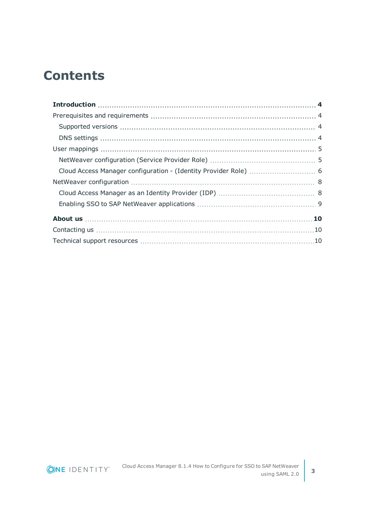### **Contents**

ONE IDENTITY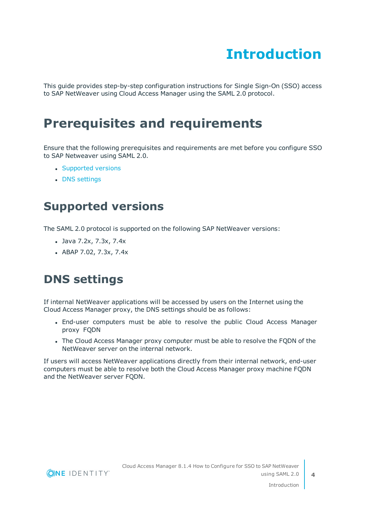# **Introduction**

<span id="page-3-0"></span>This guide provides step-by-step configuration instructions for Single Sign-On (SSO) access to SAP NetWeaver using Cloud Access Manager using the SAML 2.0 protocol.

### <span id="page-3-1"></span>**Prerequisites and requirements**

Ensure that the following prerequisites and requirements are met before you configure SSO to SAP Netweaver using SAML 2.0.

- [Supported](#page-3-2) versions
- DNS [settings](#page-3-3)

### <span id="page-3-2"></span>**Supported versions**

The SAML 2.0 protocol is supported on the following SAP NetWeaver versions:

- $\bullet$  Java 7.2x, 7.3x, 7.4x
- $\bullet$  ABAP 7.02, 7.3x, 7.4x

### <span id="page-3-3"></span>**DNS settings**

If internal NetWeaver applications will be accessed by users on the Internet using the Cloud Access Manager proxy, the DNS settings should be as follows:

- End-user computers must be able to resolve the public Cloud Access Manager proxy FQDN
- The Cloud Access Manager proxy computer must be able to resolve the FQDN of the NetWeaver server on the internal network.

If users will access NetWeaver applications directly from their internal network, end-user computers must be able to resolve both the Cloud Access Manager proxy machine FQDN and the NetWeaver server FQDN.

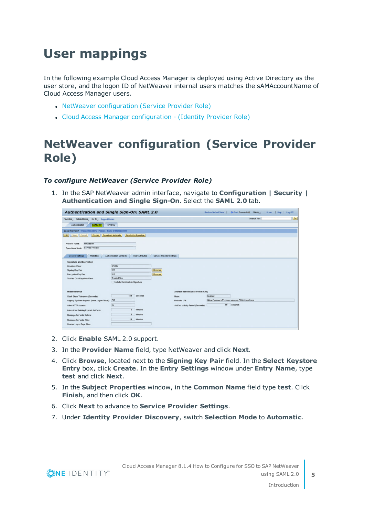# <span id="page-4-0"></span>**User mappings**

In the following example Cloud Access Manager is deployed using Active Directory as the user store, and the logon ID of NetWeaver internal users matches the sAMAccountName of Cloud Access Manager users.

- NetWeaver [configuration](#page-4-1) (Service Provider Role)
- Cloud Access Manager [configuration](#page-5-0) (Identity Provider Role)

### <span id="page-4-1"></span>**NetWeaver configuration (Service Provider Role)**

#### *To configure NetWeaver (Service Provider Role)*

1. In the SAP NetWeaver admin interface, navigate to **Configuration | Security | Authentication and Single Sign-On**. Select the **SAML 2.0** tab.

| Authentication and Single Sign-On: SAML 2.0                                                                                                                                                                                                                    |                                                                                                   |                                                                                                           | Restore Default View | Back Forward C History Home   Help   Log Off               |    |
|----------------------------------------------------------------------------------------------------------------------------------------------------------------------------------------------------------------------------------------------------------------|---------------------------------------------------------------------------------------------------|-----------------------------------------------------------------------------------------------------------|----------------------|------------------------------------------------------------|----|
| Favorites, Related Links, Go To, Support Details                                                                                                                                                                                                               |                                                                                                   |                                                                                                           |                      | Search for:                                                | Go |
| Authentication<br><b>SAML 2.0</b>                                                                                                                                                                                                                              | SPNEGO                                                                                            |                                                                                                           |                      |                                                            |    |
| Local Provider Trusted Providers Policies Name ID Management<br>Save Cancel<br><b>Disable</b><br>Edit                                                                                                                                                          | <b>Download Metadata</b><br><b>Delete Configuration</b>                                           |                                                                                                           |                      |                                                            |    |
| Provider Name:<br>netweaver<br>Service Provider<br>Operational Mode:<br><b>General Settings</b><br>Metadata                                                                                                                                                    | <b>Authentication Contexts</b><br><b>User Attributes</b>                                          | <b>Service Provider Settings</b>                                                                          |                      |                                                            |    |
| <b>Signature and Encryption</b><br>Keystore View:<br>Signing Key Pair:<br>Encryption Key Pair:<br>Trusted CAs Keystore View:                                                                                                                                   | SAML <sub>2</sub><br>test<br>test<br>TrustedCAs<br>□ Include Certificate in Signature             | <b>Browse</b><br>Browse                                                                                   |                      |                                                            |    |
| <b>Miscellaneous</b><br>Clock Skew Tolerance (Seconds):<br>Legacy Systems Support (Issue Logon Ticket):<br>Allow HTTP Access:<br>Interval for Deleting Expired Artifacts:<br>Message Not Valid Before:<br>Message Not Valid After:<br>Custom Logon Page Alias: | 120<br>Seconds<br><b>Off</b><br>No<br>5<br><b>Minutes</b><br>5<br><b>Minutes</b><br>Minutes<br>10 | <b>Artifact Resolution Service (ARS)</b><br>Mode:<br>Endpoint URL:<br>Artifact Validity Period (Seconds): | Enabled<br>60        | https://sapnwce73.demo.sap.corp:50001/saml2/ars<br>Seconds |    |

- 2. Click **Enable** SAML 2.0 support.
- 3. In the **Provider Name** field, type NetWeaver and click **Next**.
- 4. Click **Browse**, located next to the **Signing Key Pair** field. In the **Select Keystore Entry** box, click **Create**. In the **Entry Settings** window under **Entry Name**, type **test** and click **Next**.
- 5. In the **Subject Properties** window, in the **Common Name** field type **test**. Click **Finish**, and then click **OK**.
- 6. Click **Next** to advance to **Service Provider Settings**.
- 7. Under **Identity Provider Discovery**, switch **Selection Mode** to **Automatic**.



**5**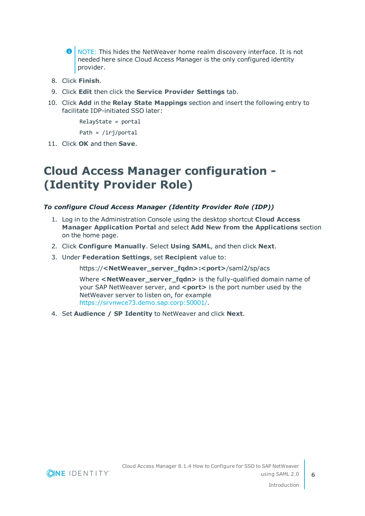- **O** NOTE: This hides the NetWeaver home realm discovery interface. It is not needed here since Cloud Access Manager is the only configured identity provider.
- 8. Click **Finish**.
- 9. Click **Edit** then click the **Service Provider Settings** tab.
- 10. Click **Add** in the **Relay State Mappings** section and insert the following entry to facilitate IDP-initiated SSO later:

RelayState = portal

Path = /irj/portal

<span id="page-5-0"></span>11. Click **OK** and then **Save**.

### **Cloud Access Manager configuration - (Identity Provider Role)**

#### *To configure Cloud Access Manager (Identity Provider Role (IDP))*

- 1. Log in to the Administration Console using the desktop shortcut **Cloud Access Manager Application Portal** and select **Add New from the Applications** section on the home page.
- 2. Click **Configure Manually**. Select **Using SAML**, and then click **Next**.
- 3. Under **Federation Settings**, set **Recipient** value to:

https://**<NetWeaver\_server\_fqdn>:<port>**/saml2/sp/acs

Where <NetWeaver\_server\_fgdn> is the fully-qualified domain name of your SAP NetWeaver server, and <port>>
is the port number used by the NetWeaver server to listen on, for example <https://srvnwce73.demo.sap.corp:50001/>.

4. Set **Audience / SP Identity** to NetWeaver and click **Next**.

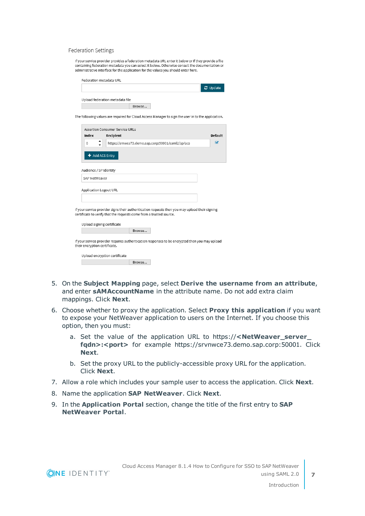#### Federation Settings

If your service provider provides a federation metadata URL enter it below or if they provide a file containing federation metadata you can select it below. Otherwise consult the documentation or administrative interface for the application for the values you should enter here.

| Federation metadata URL         |        |  |  |          |
|---------------------------------|--------|--|--|----------|
|                                 |        |  |  | C Update |
| Upload federation metadata file |        |  |  |          |
|                                 | Browse |  |  |          |

The following values are required for Cloud Access Manager to sign the user in to the application.

|                              | Assertion Consumer Service URLs                                                                                                                                                               |                         |
|------------------------------|-----------------------------------------------------------------------------------------------------------------------------------------------------------------------------------------------|-------------------------|
| Index                        | Recipient                                                                                                                                                                                     | Default                 |
| $\circ$                      | https://srnwce73.demo.sap.corp:50001/saml2/sp/acs                                                                                                                                             | $\overline{\mathbf{v}}$ |
|                              | + Add ACS Entry                                                                                                                                                                               |                         |
| Audience / SP Identity       |                                                                                                                                                                                               |                         |
| SAP NetWeaver                |                                                                                                                                                                                               |                         |
|                              | Application Logout URL<br>f your service provider signs their authentication requests then you may upload their signing<br>ertificate to verify that the requests come from a trusted source. |                         |
|                              | Upload signing certificate                                                                                                                                                                    |                         |
|                              | Browse                                                                                                                                                                                        |                         |
| heir encryption certificate. | f your service provider requires authentication responses to be encrypted then you may upload                                                                                                 |                         |
|                              | Upload encryption certificate                                                                                                                                                                 |                         |

Browse...

- 5. On the **Subject Mapping** page, select **Derive the username from an attribute**, and enter **sAMAccountName** in the attribute name. Do not add extra claim mappings. Click **Next**.
- 6. Choose whether to proxy the application. Select **Proxy this application** if you want to expose your NetWeaver application to users on the Internet. If you choose this option, then you must:
	- a. Set the value of the application URL to https://**<NetWeaver\_server\_** fgdn>:<port> for example https://srvnwce73.demo.sap.corp:50001. Click **Next**.
	- b. Set the proxy URL to the publicly-accessible proxy URL for the application. Click **Next**.
- 7. Allow a role which includes your sample user to access the application. Click **Next**.
- 8. Name the application **SAP NetWeaver**. Click **Next**.
- 9. In the **Application Portal** section, change the title of the first entry to **SAP NetWeaver Portal**.

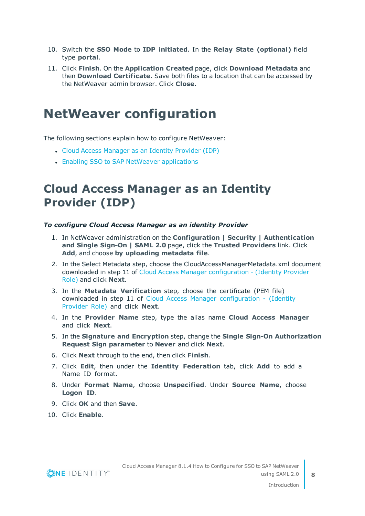- 10. Switch the **SSO Mode** to **IDP initiated**. In the **Relay State (optional)** field type **portal**.
- 11. Click **Finish**. On the **Application Created** page, click **Download Metadata** and then **Download Certificate**. Save both files to a location that can be accessed by the NetWeaver admin browser. Click **Close**.

### <span id="page-7-0"></span>**NetWeaver configuration**

The following sections explain how to configure NetWeaver:

- Cloud Access [Manager](#page-7-1) as an Identity Provider (IDP)
- Enabling SSO to SAP NetWeaver [applications](#page-8-0)

### <span id="page-7-1"></span>**Cloud Access Manager as an Identity Provider (IDP)**

#### *To configure Cloud Access Manager as an identity Provider*

- 1. In NetWeaver administration on the **Configuration | Security | Authentication and Single Sign-On | SAML 2.0** page, click the **Trusted Providers** link. Click **Add**, and choose **by uploading metadata file**.
- 2. In the Select Metadata step, choose the CloudAccessManagerMetadata.xml document downloaded in step 11 of Cloud Access Manager [configuration](#page-5-0) - (Identity Provider [Role\)](#page-5-0) and click **Next**.
- 3. In the **Metadata Verification** step, choose the certificate (PEM file) downloaded in step 11 of Cloud Access Manager configuration - (Identity Provider Role) and click **Next**.
- 4. In the **Provider Name** step, type the alias name **Cloud Access Manager** and click **Next**.
- 5. In the **Signature and Encryption** step, change the **Single Sign-On Authorization Request Sign parameter** to **Never** and click **Next**.
- 6. Click **Next** through to the end, then click **Finish**.
- 7. Click **Edit**, then under the **Identity Federation** tab, click **Add** to add a Name ID format.
- 8. Under **Format Name**, choose **Unspecified**. Under **Source Name**, choose **Logon ID**.
- 9. Click **OK** and then **Save**.
- 10. Click **Enable**.

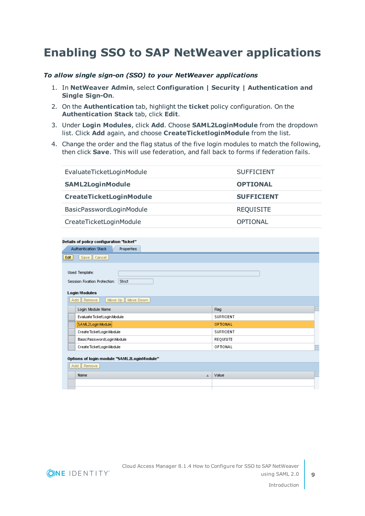### <span id="page-8-0"></span>**Enabling SSO to SAP NetWeaver applications**

#### *To allow single sign-on (SSO) to your NetWeaver applications*

- 1. In **NetWeaver Admin**, select **Configuration | Security | Authentication and Single Sign-On**.
- 2. On the **Authentication** tab, highlight the **ticket** policy configuration. On the **Authentication Stack** tab, click **Edit**.
- 3. Under **Login Modules**, click **Add**. Choose **SAML2LoginModule** from the dropdown list. Click **Add** again, and choose **CreateTicketloginModule** from the list.
- 4. Change the order and the flag status of the five login modules to match the following, then click **Save**. This will use federation, and fall back to forms if federation fails.

| EvaluateTicketLoginModule      | <b>SUFFICIENT</b> |
|--------------------------------|-------------------|
| <b>SAML2LoginModule</b>        | <b>OPTIONAL</b>   |
| <b>CreateTicketLoginModule</b> | <b>SUFFICIENT</b> |
| BasicPasswordLoginModule       | <b>REQUISITE</b>  |
| CreateTicketLoginModule        | OPTIONAL          |

| Details of policy configuration "ticket"                                                                              |                      |
|-----------------------------------------------------------------------------------------------------------------------|----------------------|
| Properties<br><b>Authentication Stack</b>                                                                             |                      |
| Save    Cancel  <br>Edit                                                                                              |                      |
| Used Template:<br>Strict<br>Session Fixation Protection:<br><b>Login Modules</b><br>Add Remove<br>Move Up   Move Down |                      |
| Login Module Name                                                                                                     | <b>A</b><br>Flag     |
| Evaluate Ticket Login Module                                                                                          | <b>SUFFICIENT</b>    |
| SAML2LoginModule                                                                                                      | OPTIONAL             |
| Create Ticket Login Module                                                                                            | <b>SUFFICIENT</b>    |
| BasicPasswordLoginModule                                                                                              | REQUISITE            |
| Create Ticket Login Module                                                                                            | OPTIONAL<br><b>I</b> |
| Options of login module "SAML2LoginModule"                                                                            |                      |
| Add    Remove                                                                                                         |                      |
| Name<br>$\triangleq$                                                                                                  | <b>A</b><br>Value    |
|                                                                                                                       |                      |
|                                                                                                                       |                      |



**9**